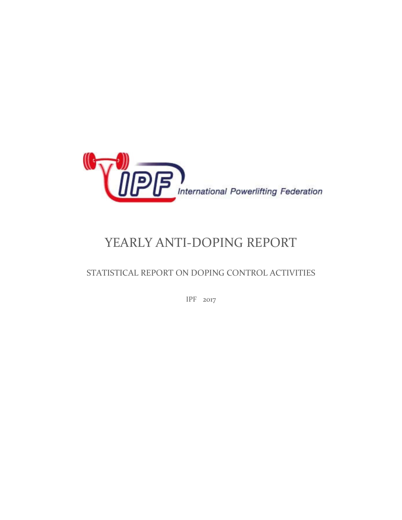

# YEARLY ANTI-DOPING REPORT

### STATISTICAL REPORT ON DOPING CONTROL ACTIVITIES

IPF 2017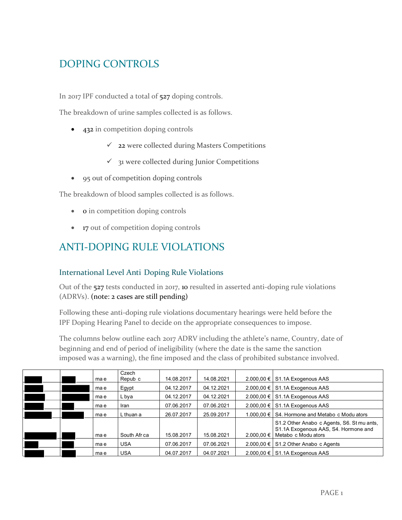## DOPING CONTROLS

In 2017 IPF conducted a total of 527 doping controls.

The breakdown of urine samples collected is as follows.

- 432 in competition doping controls
	- $\checkmark$  22 were collected during Masters Competitions
	- $\checkmark$  31 were collected during Junior Competitions
- 95 out of competition doping controls

The breakdown of blood samples collected is as follows.

- **o** in competition doping controls
- 17 out of competition doping controls

### ANTI-DOPING RULE VIOLATIONS

#### International Level Anti Doping Rule Violations

Out of the 527 tests conducted in 2017, 10 resulted in asserted anti-doping rule violations (ADRVs). (note: 2 cases are still pending)

Following these anti-doping rule violations documentary hearings were held before the IPF Doping Hearing Panel to decide on the appropriate consequences to impose.

The columns below outline each 2017 ADRV including the athlete's name, Country, date of beginning and end of period of ineligibility (where the date is the same the sanction imposed was a warning), the fine imposed and the class of prohibited substance involved.

|  | ma e | Czech<br>Repub c | 14.08.2017 | 14.08.2021 | $2.000,00 \in$ S1.1A Exogenous AAS                                                                                   |
|--|------|------------------|------------|------------|----------------------------------------------------------------------------------------------------------------------|
|  | ma e | Egypt            | 04.12.2017 | 04.12.2021 | 2.000,00 € S1.1A Exogenous AAS                                                                                       |
|  | ma e | L bya            | 04.12.2017 | 04.12.2021 | $2.000,00 \in$ S1.1A Exogenous AAS                                                                                   |
|  | mae  | Iran             | 07.06.2017 | 07.06.2021 | 2.000,00 € S1.1A Exogenous AAS                                                                                       |
|  | mae  | L thuan a        | 26.07.2017 | 25.09.2017 | 1.000,00 € S4. Hormone and Metabo c Modu ators                                                                       |
|  | ma e | South Afr ca     | 15.08.2017 | 15.08.2021 | S1.2 Other Anabo c Agents, S6. St mu ants,<br>S1.1A Exogenous AAS, S4. Hormone and<br>2.000,00 € Metabo c Modu ators |
|  |      |                  |            |            |                                                                                                                      |
|  | mae  | <b>USA</b>       | 07.06.2017 | 07.06.2021 | 2.000,00 € S1.2 Other Anabo c Agents                                                                                 |
|  | mae  | <b>USA</b>       | 04.07.2017 | 04.07.2021 | $2.000,00 \in$ S1.1A Exogenous AAS                                                                                   |